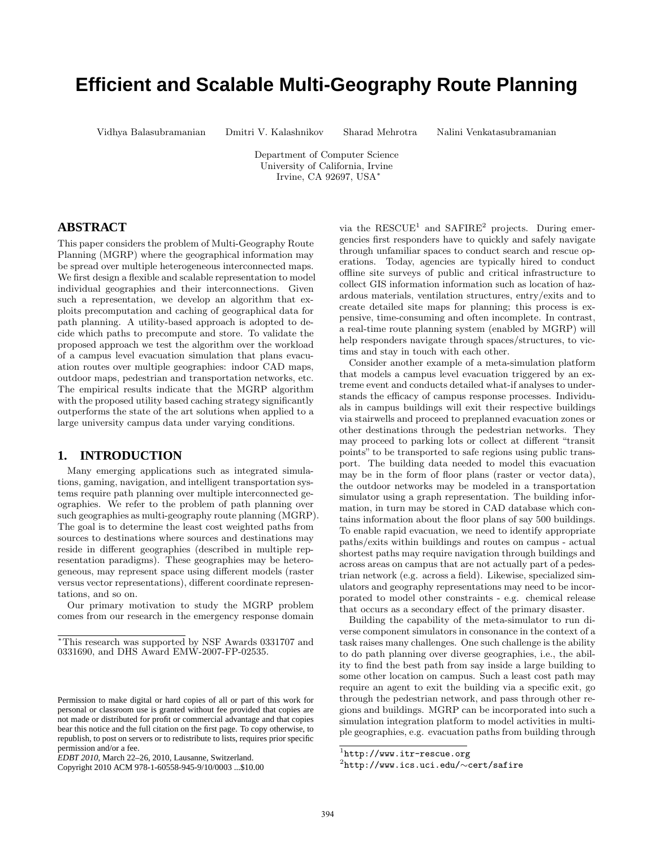# **Efficient and Scalable Multi-Geography Route Planning**

Vidhya Balasubramanian Dmitri V. Kalashnikov Sharad Mehrotra Nalini Venkatasubramanian

Department of Computer Science University of California, Irvine Irvine, CA 92697, USA<sup>∗</sup>

# **ABSTRACT**

This paper considers the problem of Multi-Geography Route Planning (MGRP) where the geographical information may be spread over multiple heterogeneous interconnected maps. We first design a flexible and scalable representation to model individual geographies and their interconnections. Given such a representation, we develop an algorithm that exploits precomputation and caching of geographical data for path planning. A utility-based approach is adopted to decide which paths to precompute and store. To validate the proposed approach we test the algorithm over the workload of a campus level evacuation simulation that plans evacuation routes over multiple geographies: indoor CAD maps, outdoor maps, pedestrian and transportation networks, etc. The empirical results indicate that the MGRP algorithm with the proposed utility based caching strategy significantly outperforms the state of the art solutions when applied to a large university campus data under varying conditions.

# **1. INTRODUCTION**

Many emerging applications such as integrated simulations, gaming, navigation, and intelligent transportation systems require path planning over multiple interconnected geographies. We refer to the problem of path planning over such geographies as multi-geography route planning (MGRP). The goal is to determine the least cost weighted paths from sources to destinations where sources and destinations may reside in different geographies (described in multiple representation paradigms). These geographies may be heterogeneous, may represent space using different models (raster versus vector representations), different coordinate representations, and so on.

Our primary motivation to study the MGRP problem comes from our research in the emergency response domain

Copyright 2010 ACM 978-1-60558-945-9/10/0003 ...\$10.00

via the  $RESCUE<sup>1</sup>$  and  $SAFIRE<sup>2</sup>$  projects. During emergencies first responders have to quickly and safely navigate through unfamiliar spaces to conduct search and rescue operations. Today, agencies are typically hired to conduct offline site surveys of public and critical infrastructure to collect GIS information information such as location of hazardous materials, ventilation structures, entry/exits and to create detailed site maps for planning; this process is expensive, time-consuming and often incomplete. In contrast, a real-time route planning system (enabled by MGRP) will help responders navigate through spaces/structures, to victims and stay in touch with each other.

Consider another example of a meta-simulation platform that models a campus level evacuation triggered by an extreme event and conducts detailed what-if analyses to understands the efficacy of campus response processes. Individuals in campus buildings will exit their respective buildings via stairwells and proceed to preplanned evacuation zones or other destinations through the pedestrian networks. They may proceed to parking lots or collect at different "transit points" to be transported to safe regions using public transport. The building data needed to model this evacuation may be in the form of floor plans (raster or vector data), the outdoor networks may be modeled in a transportation simulator using a graph representation. The building information, in turn may be stored in CAD database which contains information about the floor plans of say 500 buildings. To enable rapid evacuation, we need to identify appropriate paths/exits within buildings and routes on campus - actual shortest paths may require navigation through buildings and across areas on campus that are not actually part of a pedestrian network (e.g. across a field). Likewise, specialized simulators and geography representations may need to be incorporated to model other constraints - e.g. chemical release that occurs as a secondary effect of the primary disaster.

Building the capability of the meta-simulator to run diverse component simulators in consonance in the context of a task raises many challenges. One such challenge is the ability to do path planning over diverse geographies, i.e., the ability to find the best path from say inside a large building to some other location on campus. Such a least cost path may require an agent to exit the building via a specific exit, go through the pedestrian network, and pass through other regions and buildings. MGRP can be incorporated into such a simulation integration platform to model activities in multiple geographies, e.g. evacuation paths from building through

<sup>∗</sup>This research was supported by NSF Awards 0331707 and 0331690, and DHS Award EMW-2007-FP-02535.

Permission to make digital or hard copies of all or part of this work for personal or classroom use is granted without fee provided that copies are not made or distributed for profit or commercial advantage and that copies bear this notice and the full citation on the first page. To copy otherwise, to republish, to post on servers or to redistribute to lists, requires prior specific permission and/or a fee.

*EDBT 2010*, March 22–26, 2010, Lausanne, Switzerland.

 $1$ http://www.itr-rescue.org

<sup>2</sup> http://www.ics.uci.edu/∼cert/safire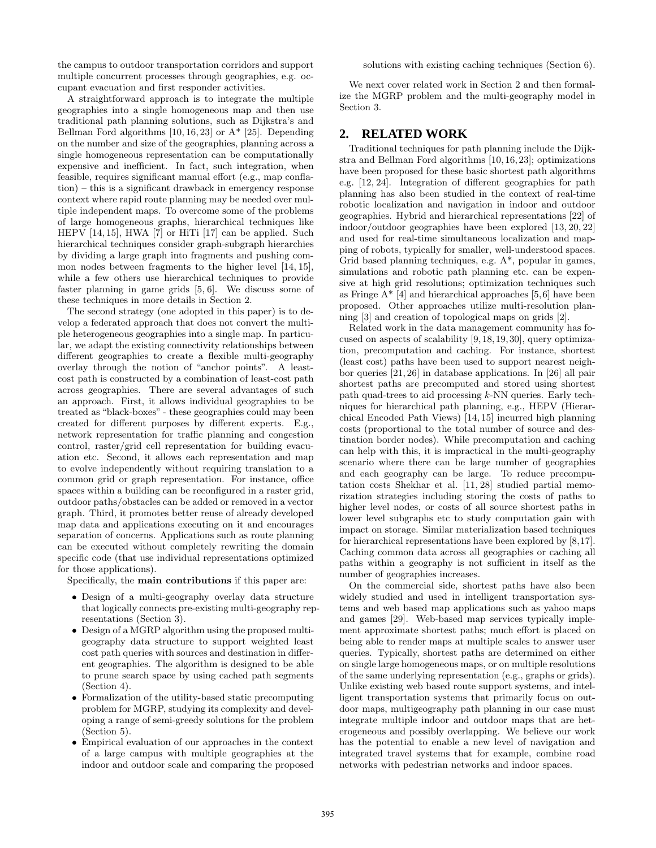the campus to outdoor transportation corridors and support multiple concurrent processes through geographies, e.g. occupant evacuation and first responder activities.

A straightforward approach is to integrate the multiple geographies into a single homogeneous map and then use traditional path planning solutions, such as Dijkstra's and Bellman Ford algorithms  $[10, 16, 23]$  or  $A^*$  [25]. Depending on the number and size of the geographies, planning across a single homogeneous representation can be computationally expensive and inefficient. In fact, such integration, when feasible, requires significant manual effort (e.g., map conflation) – this is a significant drawback in emergency response context where rapid route planning may be needed over multiple independent maps. To overcome some of the problems of large homogeneous graphs, hierarchical techniques like HEPV [14, 15], HWA [7] or HiTi [17] can be applied. Such hierarchical techniques consider graph-subgraph hierarchies by dividing a large graph into fragments and pushing common nodes between fragments to the higher level [14, 15], while a few others use hierarchical techniques to provide faster planning in game grids [5, 6]. We discuss some of these techniques in more details in Section 2.

The second strategy (one adopted in this paper) is to develop a federated approach that does not convert the multiple heterogeneous geographies into a single map. In particular, we adapt the existing connectivity relationships between different geographies to create a flexible multi-geography overlay through the notion of "anchor points". A leastcost path is constructed by a combination of least-cost path across geographies. There are several advantages of such an approach. First, it allows individual geographies to be treated as "black-boxes" - these geographies could may been created for different purposes by different experts. E.g., network representation for traffic planning and congestion control, raster/grid cell representation for building evacuation etc. Second, it allows each representation and map to evolve independently without requiring translation to a common grid or graph representation. For instance, office spaces within a building can be reconfigured in a raster grid, outdoor paths/obstacles can be added or removed in a vector graph. Third, it promotes better reuse of already developed map data and applications executing on it and encourages separation of concerns. Applications such as route planning can be executed without completely rewriting the domain specific code (that use individual representations optimized for those applications).

Specifically, the main contributions if this paper are:

- Design of a multi-geography overlay data structure that logically connects pre-existing multi-geography representations (Section 3).
- Design of a MGRP algorithm using the proposed multigeography data structure to support weighted least cost path queries with sources and destination in different geographies. The algorithm is designed to be able to prune search space by using cached path segments (Section 4).
- Formalization of the utility-based static precomputing problem for MGRP, studying its complexity and developing a range of semi-greedy solutions for the problem (Section 5).
- Empirical evaluation of our approaches in the context of a large campus with multiple geographies at the indoor and outdoor scale and comparing the proposed

solutions with existing caching techniques (Section 6).

We next cover related work in Section 2 and then formalize the MGRP problem and the multi-geography model in Section 3.

## **2. RELATED WORK**

Traditional techniques for path planning include the Dijkstra and Bellman Ford algorithms [10, 16, 23]; optimizations have been proposed for these basic shortest path algorithms e.g. [12, 24]. Integration of different geographies for path planning has also been studied in the context of real-time robotic localization and navigation in indoor and outdoor geographies. Hybrid and hierarchical representations [22] of indoor/outdoor geographies have been explored [13, 20, 22] and used for real-time simultaneous localization and mapping of robots, typically for smaller, well-understood spaces. Grid based planning techniques, e.g. A\*, popular in games, simulations and robotic path planning etc. can be expensive at high grid resolutions; optimization techniques such as Fringe  $A^*$  [4] and hierarchical approaches [5,6] have been proposed. Other approaches utilize multi-resolution planning [3] and creation of topological maps on grids [2].

Related work in the data management community has focused on aspects of scalability [9, 18, 19, 30], query optimization, precomputation and caching. For instance, shortest (least cost) paths have been used to support nearest neighbor queries [21, 26] in database applications. In [26] all pair shortest paths are precomputed and stored using shortest path quad-trees to aid processing k-NN queries. Early techniques for hierarchical path planning, e.g., HEPV (Hierarchical Encoded Path Views) [14, 15] incurred high planning costs (proportional to the total number of source and destination border nodes). While precomputation and caching can help with this, it is impractical in the multi-geography scenario where there can be large number of geographies and each geography can be large. To reduce precomputation costs Shekhar et al. [11, 28] studied partial memorization strategies including storing the costs of paths to higher level nodes, or costs of all source shortest paths in lower level subgraphs etc to study computation gain with impact on storage. Similar materialization based techniques for hierarchical representations have been explored by [8,17]. Caching common data across all geographies or caching all paths within a geography is not sufficient in itself as the number of geographies increases.

On the commercial side, shortest paths have also been widely studied and used in intelligent transportation systems and web based map applications such as yahoo maps and games [29]. Web-based map services typically implement approximate shortest paths; much effort is placed on being able to render maps at multiple scales to answer user queries. Typically, shortest paths are determined on either on single large homogeneous maps, or on multiple resolutions of the same underlying representation (e.g., graphs or grids). Unlike existing web based route support systems, and intelligent transportation systems that primarily focus on outdoor maps, multigeography path planning in our case must integrate multiple indoor and outdoor maps that are heterogeneous and possibly overlapping. We believe our work has the potential to enable a new level of navigation and integrated travel systems that for example, combine road networks with pedestrian networks and indoor spaces.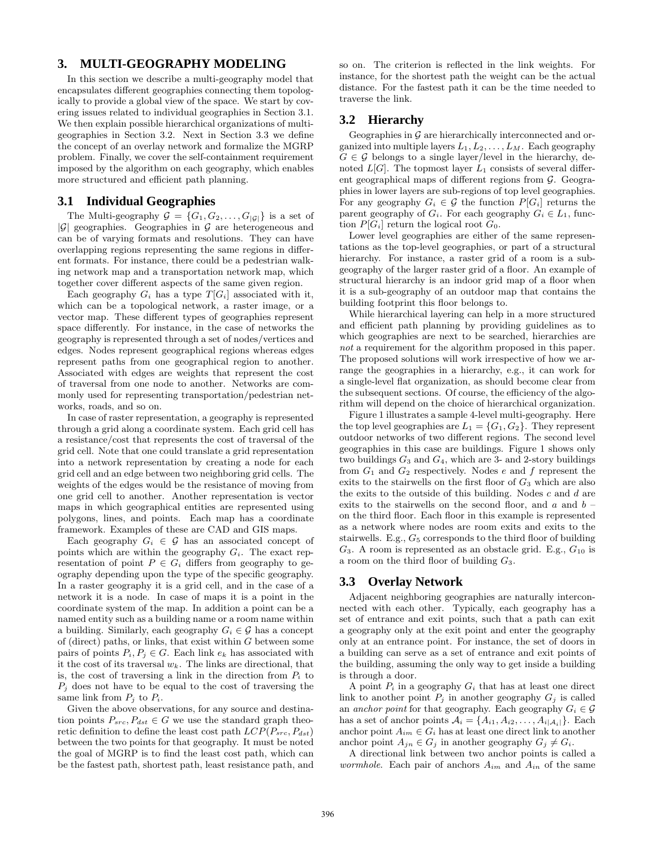# **3. MULTI-GEOGRAPHY MODELING**

In this section we describe a multi-geography model that encapsulates different geographies connecting them topologically to provide a global view of the space. We start by covering issues related to individual geographies in Section 3.1. We then explain possible hierarchical organizations of multigeographies in Section 3.2. Next in Section 3.3 we define the concept of an overlay network and formalize the MGRP problem. Finally, we cover the self-containment requirement imposed by the algorithm on each geography, which enables more structured and efficient path planning.

# **3.1 Individual Geographies**

The Multi-geography  $\mathcal{G} = \{G_1, G_2, \ldots, G_{|\mathcal{G}|}\}\$ is a set of  $|\mathcal{G}|$  geographies. Geographies in  $\mathcal G$  are heterogeneous and can be of varying formats and resolutions. They can have overlapping regions representing the same regions in different formats. For instance, there could be a pedestrian walking network map and a transportation network map, which together cover different aspects of the same given region.

Each geography  $G_i$  has a type  $T[G_i]$  associated with it, which can be a topological network, a raster image, or a vector map. These different types of geographies represent space differently. For instance, in the case of networks the geography is represented through a set of nodes/vertices and edges. Nodes represent geographical regions whereas edges represent paths from one geographical region to another. Associated with edges are weights that represent the cost of traversal from one node to another. Networks are commonly used for representing transportation/pedestrian networks, roads, and so on.

In case of raster representation, a geography is represented through a grid along a coordinate system. Each grid cell has a resistance/cost that represents the cost of traversal of the grid cell. Note that one could translate a grid representation into a network representation by creating a node for each grid cell and an edge between two neighboring grid cells. The weights of the edges would be the resistance of moving from one grid cell to another. Another representation is vector maps in which geographical entities are represented using polygons, lines, and points. Each map has a coordinate framework. Examples of these are CAD and GIS maps.

Each geography  $G_i \in \mathcal{G}$  has an associated concept of points which are within the geography  $G_i$ . The exact representation of point  $P \in G_i$  differs from geography to geography depending upon the type of the specific geography. In a raster geography it is a grid cell, and in the case of a network it is a node. In case of maps it is a point in the coordinate system of the map. In addition a point can be a named entity such as a building name or a room name within a building. Similarly, each geography  $G_i \in \mathcal{G}$  has a concept of (direct) paths, or links, that exist within G between some pairs of points  $P_i, P_j \in G$ . Each link  $e_k$  has associated with it the cost of its traversal  $w_k$ . The links are directional, that is, the cost of traversing a link in the direction from  $P_i$  to  $P_i$  does not have to be equal to the cost of traversing the same link from  $P_i$  to  $P_i$ .

Given the above observations, for any source and destination points  $P_{src}, P_{dst} \in G$  we use the standard graph theoretic definition to define the least cost path  $LCP(P_{src}, P_{dst})$ between the two points for that geography. It must be noted the goal of MGRP is to find the least cost path, which can be the fastest path, shortest path, least resistance path, and so on. The criterion is reflected in the link weights. For instance, for the shortest path the weight can be the actual distance. For the fastest path it can be the time needed to traverse the link.

# **3.2 Hierarchy**

Geographies in  $G$  are hierarchically interconnected and organized into multiple layers  $L_1, L_2, \ldots, L_M$ . Each geography  $G \in \mathcal{G}$  belongs to a single layer/level in the hierarchy, denoted  $L[G]$ . The topmost layer  $L_1$  consists of several different geographical maps of different regions from  $\mathcal{G}$ . Geographies in lower layers are sub-regions of top level geographies. For any geography  $G_i \in \mathcal{G}$  the function  $P[G_i]$  returns the parent geography of  $G_i$ . For each geography  $G_i \in L_1$ , function  $P[G_i]$  return the logical root  $G_0$ .

Lower level geographies are either of the same representations as the top-level geographies, or part of a structural hierarchy. For instance, a raster grid of a room is a subgeography of the larger raster grid of a floor. An example of structural hierarchy is an indoor grid map of a floor when it is a sub-geography of an outdoor map that contains the building footprint this floor belongs to.

While hierarchical layering can help in a more structured and efficient path planning by providing guidelines as to which geographies are next to be searched, hierarchies are not a requirement for the algorithm proposed in this paper. The proposed solutions will work irrespective of how we arrange the geographies in a hierarchy, e.g., it can work for a single-level flat organization, as should become clear from the subsequent sections. Of course, the efficiency of the algorithm will depend on the choice of hierarchical organization.

Figure 1 illustrates a sample 4-level multi-geography. Here the top level geographies are  $L_1 = \{G_1, G_2\}$ . They represent outdoor networks of two different regions. The second level geographies in this case are buildings. Figure 1 shows only two buildings  $G_3$  and  $G_4$ , which are 3- and 2-story buildings from  $G_1$  and  $G_2$  respectively. Nodes e and f represent the exits to the stairwells on the first floor of  $G_3$  which are also the exits to the outside of this building. Nodes  $c$  and  $d$  are exits to the stairwells on the second floor, and  $a$  and  $b$  – on the third floor. Each floor in this example is represented as a network where nodes are room exits and exits to the stairwells. E.g.,  $G_5$  corresponds to the third floor of building  $G_3$ . A room is represented as an obstacle grid. E.g.,  $G_{10}$  is a room on the third floor of building  $G_3$ .

# **3.3 Overlay Network**

Adjacent neighboring geographies are naturally interconnected with each other. Typically, each geography has a set of entrance and exit points, such that a path can exit a geography only at the exit point and enter the geography only at an entrance point. For instance, the set of doors in a building can serve as a set of entrance and exit points of the building, assuming the only way to get inside a building is through a door.

A point  $P_i$  in a geography  $G_i$  that has at least one direct link to another point  $P_i$  in another geography  $G_i$  is called an anchor point for that geography. Each geography  $G_i \in \mathcal{G}$ has a set of anchor points  $A_i = \{A_{i1}, A_{i2}, \ldots, A_{i|A_i|}\}.$  Each anchor point  $A_{im} \in G_i$  has at least one direct link to another anchor point  $A_{jn} \in G_j$  in another geography  $G_j \neq G_i$ .

A directional link between two anchor points is called a *wormhole.* Each pair of anchors  $A_{im}$  and  $A_{in}$  of the same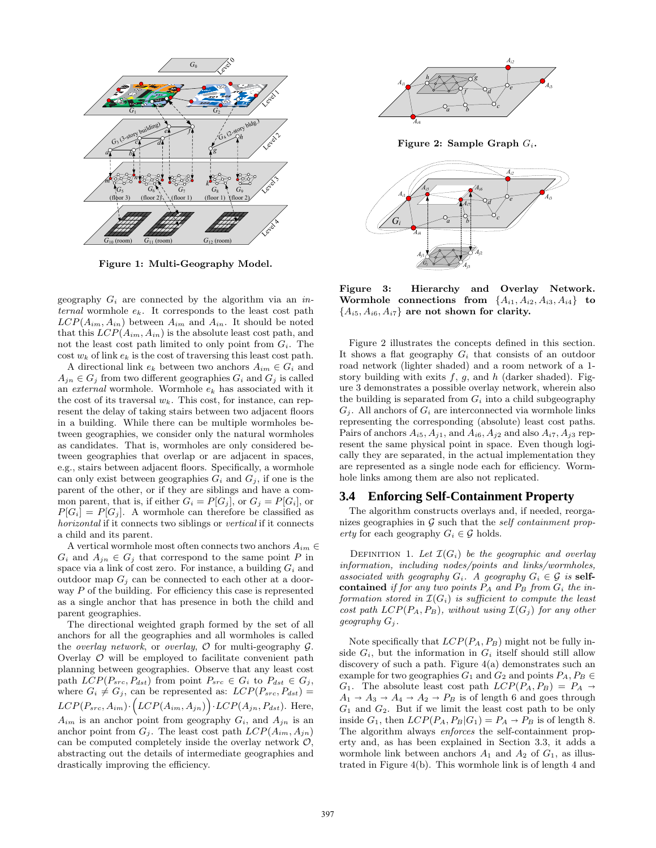

Figure 1: Multi-Geography Model.

geography  $G_i$  are connected by the algorithm via an internal wormhole  $e_k$ . It corresponds to the least cost path  $LCP(A_{im}, A_{in})$  between  $A_{im}$  and  $A_{in}$ . It should be noted that this  $LCP(A_{im}, A_{in})$  is the absolute least cost path, and not the least cost path limited to only point from  $G_i$ . The cost  $w_k$  of link  $e_k$  is the cost of traversing this least cost path.

A directional link  $e_k$  between two anchors  $A_{im} \in G_i$  and  $A_{in} \in G_i$  from two different geographies  $G_i$  and  $G_j$  is called an *external* wormhole. Wormhole  $e_k$  has associated with it the cost of its traversal  $w_k$ . This cost, for instance, can represent the delay of taking stairs between two adjacent floors in a building. While there can be multiple wormholes between geographies, we consider only the natural wormholes as candidates. That is, wormholes are only considered between geographies that overlap or are adjacent in spaces, e.g., stairs between adjacent floors. Specifically, a wormhole can only exist between geographies  $G_i$  and  $G_j$ , if one is the parent of the other, or if they are siblings and have a common parent, that is, if either  $G_i = P[G_i]$ , or  $G_j = P[G_i]$ , or  $P[G_i] = P[G_i]$ . A wormhole can therefore be classified as horizontal if it connects two siblings or vertical if it connects a child and its parent.

A vertical wormhole most often connects two anchors  $A_{im}$   $\in$  $G_i$  and  $A_{jn} \in G_j$  that correspond to the same point P in space via a link of cost zero. For instance, a building  $G_i$  and outdoor map  $G_i$  can be connected to each other at a doorway  $P$  of the building. For efficiency this case is represented as a single anchor that has presence in both the child and parent geographies.

The directional weighted graph formed by the set of all anchors for all the geographies and all wormholes is called the *overlay network*, or *overlay*,  $\mathcal O$  for multi-geography  $\mathcal G$ . Overlay  $\mathcal O$  will be employed to facilitate convenient path planning between geographies. Observe that any least cost path  $LCP(P_{src}, P_{dst})$  from point  $P_{src} \in G_i$  to  $P_{dst} \in G_j$ , where  $G_i \neq G_j$ , can be represented as:  $LCP(P_{src}, P_{dst}) =$  $LCP(P_{src}, A_{im})\cdot (LCP(A_{im}, A_{jn}))\cdot LCP(A_{jn}, P_{dst})$ . Here,  $A_{im}$  is an anchor point from geography  $G_i$ , and  $A_{jn}$  is an anchor point from  $G_i$ . The least cost path  $LCP(A_{im}, A_{in})$ can be computed completely inside the overlay network  $\mathcal{O}_1$ , abstracting out the details of intermediate geographies and drastically improving the efficiency.



Figure 2: Sample Graph  $G_i$ .



Figure 3: Hierarchy and Overlay Network. Wormhole connections from  ${A_{i1}, A_{i2}, A_{i3}, A_{i4}}$  to  ${A_{i5}, A_{i6}, A_{i7}}$  are not shown for clarity.

Figure 2 illustrates the concepts defined in this section. It shows a flat geography  $G_i$  that consists of an outdoor road network (lighter shaded) and a room network of a 1 story building with exits  $f, g$ , and  $h$  (darker shaded). Figure 3 demonstrates a possible overlay network, wherein also the building is separated from  $G_i$  into a child subgeography  $G_j$ . All anchors of  $G_i$  are interconnected via wormhole links representing the corresponding (absolute) least cost paths. Pairs of anchors  $A_{i5}$ ,  $A_{i1}$ , and  $A_{i6}$ ,  $A_{i2}$  and also  $A_{i7}$ ,  $A_{i3}$  represent the same physical point in space. Even though logically they are separated, in the actual implementation they are represented as a single node each for efficiency. Wormhole links among them are also not replicated.

#### **3.4 Enforcing Self-Containment Property**

The algorithm constructs overlays and, if needed, reorganizes geographies in  $G$  such that the *self containment prop*erty for each geography  $G_i \in \mathcal{G}$  holds.

DEFINITION 1. Let  $\mathcal{I}(G_i)$  be the geographic and overlay information, including nodes/points and links/wormholes, associated with geography  $G_i$ . A geography  $G_i \in \mathcal{G}$  is selfcontained if for any two points  $P_A$  and  $P_B$  from  $G_i$  the information stored in  $\mathcal{I}(G_i)$  is sufficient to compute the least cost path  $LCP(P_A, P_B)$ , without using  $\mathcal{I}(G_i)$  for any other geography  $G_i$ .

Note specifically that  $LCP(P_A, P_B)$  might not be fully inside  $G_i$ , but the information in  $G_i$  itself should still allow discovery of such a path. Figure 4(a) demonstrates such an example for two geographies  $G_1$  and  $G_2$  and points  $P_A, P_B \in$  $G_1$ . The absolute least cost path  $LCP(P_A, P_B) = P_A \rightarrow$  $A_1 \rightarrow A_3 \rightarrow A_4 \rightarrow A_2 \rightarrow P_B$  is of length 6 and goes through  $G_1$  and  $G_2$ . But if we limit the least cost path to be only inside  $G_1$ , then  $LCP(P_A, P_B|G_1) = P_A \rightarrow P_B$  is of length 8. The algorithm always *enforces* the self-containment property and, as has been explained in Section 3.3, it adds a wormhole link between anchors  $A_1$  and  $A_2$  of  $G_1$ , as illustrated in Figure 4(b). This wormhole link is of length 4 and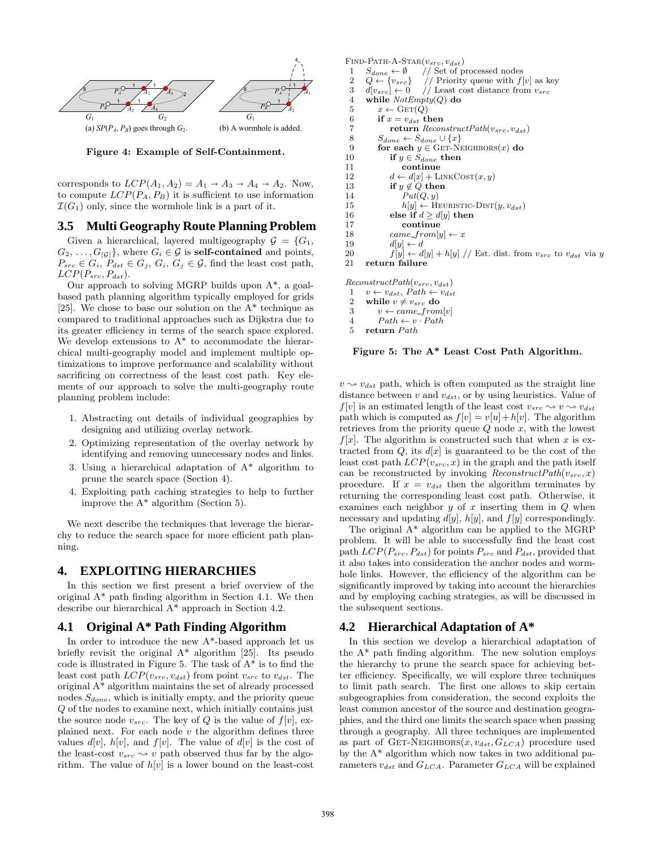

Figure 4: Example of Self-Containment.

corresponds to  $LCP(A_1, A_2) = A_1 \rightarrow A_3 \rightarrow A_4 \rightarrow A_2$ . Now, to compute  $LCP(P_A, P_B)$  it is sufficient to use information  $\mathcal{I}(G_1)$  only, since the wormhole link is a part of it.

## **3.5 Multi Geography Route Planning Problem**

Given a hierarchical, layered multigeography  $\mathcal{G} = \{G_1,$  $G_2, \ldots, G_{|\mathcal{G}|}$ , where  $G_i \in \mathcal{G}$  is **self-contained** and points,  $P_{src} \in G_i$ ,  $P_{dst} \in G_j$ ,  $G_i$ ,  $G_j \in \mathcal{G}$ , find the least cost path,  $LCP(P_{src}, P_{dst}).$ 

Our approach to solving MGRP builds upon A\*, a goalbased path planning algorithm typically employed for grids [25]. We chose to base our solution on the  $A^*$  technique as compared to traditional approaches such as Dijkstra due to its greater efficiency in terms of the search space explored. We develop extensions to  $A^*$  to accommodate the hierarchical multi-geography model and implement multiple optimizations to improve performance and scalability without sacrificing on correctness of the least cost path. Key elements of our approach to solve the multi-geography route planning problem include:

- 1. Abstracting out details of individual geographies by designing and utilizing overlay network.
- 2. Optimizing representation of the overlay network by identifying and removing unnecessary nodes and links.
- 3. Using a hierarchical adaptation of  $A^*$  algorithm to prune the search space (Section 4).
- 4. Exploiting path caching strategies to help to further improve the  $A^*$  algorithm (Section 5).

We next describe the techniques that leverage the hierarchy to reduce the search space for more efficient path planning.

## **4. EXPLOITING HIERARCHIES**

In this section we first present a brief overview of the original A\* path finding algorithm in Section 4.1. We then describe our hierarchical A\* approach in Section 4.2.

## **4.1 Original A\* Path Finding Algorithm**

In order to introduce the new A\*-based approach let us briefly revisit the original  $A^*$  algorithm [25]. Its pseudo code is illustrated in Figure 5. The task of A\* is to find the least cost path  $LCP(v_{src}, v_{dst})$  from point  $v_{src}$  to  $v_{dst}$ . The original A\* algorithm maintains the set of already processed nodes  $S_{done}$ , which is initially empty, and the priority queue Q of the nodes to examine next, which initially contains just the source node  $v_{src}$ . The key of Q is the value of  $f[v]$ , explained next. For each node  $v$  the algorithm defines three values  $d[v]$ ,  $h[v]$ , and  $f[v]$ . The value of  $d[v]$  is the cost of the least-cost  $v_{src} \sim v$  path observed thus far by the algorithm. The value of  $h[v]$  is a lower bound on the least-cost

```
\begin{array}{l} \text{FIND-PATH-A-STAR}(v_{src},v_{dst}) \\ 1 & S_{done} \leftarrow \emptyset \end{array} \begin{array}{l} \text{/} \text{Set of }\mathbf{p} \end{array}1 S_{done} \leftarrow \emptyset // Set of processed nodes<br>2 Q \leftarrow \{v_{src}\} // Priority queue with f
 2 Q \leftarrow \{v_{src}\} // Priority queue with f[v] as key<br>3 d[v_{src}] \leftarrow 0 // Least cost distance from v_{src}3 d[v_{src}] \leftarrow 0 // Least cost distance from v_{src}<br>4 while NotEmpty(O) do
         while NotEmpty(Q) do
 5 x \leftarrow \text{GET}(Q)<br>6 if x = v_{dst} tl
 6 if x = v_{dst} then<br>7 return Recon
 7 return ReconstructPath(v_{src}, v_{dst})<br>8 S_{done} \leftarrow S_{done} \cup \{x\}8 S_{done} \leftarrow S_{done} \cup \{x\}<br>9 for each y \in GET-N
9 for each y \in \text{GET-NEIGHBORS}(x) do<br>10 if y \in S_{done} then
10 if y \in S_{done} then<br>11 continue
                          continue
12 d \leftarrow d[x] + \text{LINKCOST}(x, y)<br>13 if y \notin Q then
13 if y \notin Q then<br>14 Put(O, u)14 Put(Q, y)<br>15 h[y] \leftarrow H115 h[y] \leftarrow HEURISTIC-DIST(y, v_{dst})<br>16 else if d > d[y] then
16 else if d \ge d[y] then<br>17 continue
17 continue<br>18 came_from[1]
18 came_from[y] \leftarrow x<br>19 d[y] \leftarrow dd[y] \leftarrow d20 f[y] \leftarrow d[y] + h[y] // Est. dist. from v_{src} to v_{dst} via y<br>21 return failure
         return failure
```
 $ReconstructPath(v_{src}, v_{dst})$ 

1  $v \leftarrow v_{dst}, Path \leftarrow v_{dst}$ <br>2 while  $v \neq v_{ens}$  do

```
2 while v \neq v_{src} do<br>3 v \leftarrow came\_from
```
 $v \leftarrow came\_from[v]$ 

```
4 Path \leftarrow v \cdot Path
```

```
5 return Path
```
## Figure 5: The A\* Least Cost Path Algorithm.

 $v \sim v_{dst}$  path, which is often computed as the straight line distance between  $v$  and  $v_{dst}$ , or by using heuristics. Value of  $f[v]$  is an estimated length of the least cost  $v_{src} \rightarrow v \rightarrow v_{dst}$ path which is computed as  $f[v] = v[u] + h[v]$ . The algorithm retrieves from the priority queue  $Q$  node  $x$ , with the lowest  $f[x]$ . The algorithm is constructed such that when x is extracted from  $Q$ , its  $d[x]$  is guaranteed to be the cost of the least cost path  $LCP(v_{src}, x)$  in the graph and the path itself can be reconstructed by invoking  $ReconstructPath(v_{src}, x)$ procedure. If  $x = v_{dst}$  then the algorithm terminates by returning the corresponding least cost path. Otherwise, it examines each neighbor  $y$  of  $x$  inserting them in  $Q$  when necessary and updating  $d[y]$ ,  $h[y]$ , and  $f[y]$  correspondingly.

The original A\* algorithm can be applied to the MGRP problem. It will be able to successfully find the least cost path  $LCP(P_{src}, P_{dst})$  for points  $P_{src}$  and  $P_{dst}$ , provided that it also takes into consideration the anchor nodes and wormhole links. However, the efficiency of the algorithm can be significantly improved by taking into account the hierarchies and by employing caching strategies, as will be discussed in the subsequent sections.

# **4.2 Hierarchical Adaptation of A\***

In this section we develop a hierarchical adaptation of the  $A^*$  path finding algorithm. The new solution employs the hierarchy to prune the search space for achieving better efficiency. Specifically, we will explore three techniques to limit path search. The first one allows to skip certain subgeographies from consideration, the second exploits the least common ancestor of the source and destination geographies, and the third one limits the search space when passing through a geography. All three techniques are implemented as part of GET-NEIGHBORS $(x, v_{dst}, G_{LCA})$  procedure used by the A\* algorithm which now takes in two additional parameters  $v_{dst}$  and  $G_{LCA}$ . Parameter  $G_{LCA}$  will be explained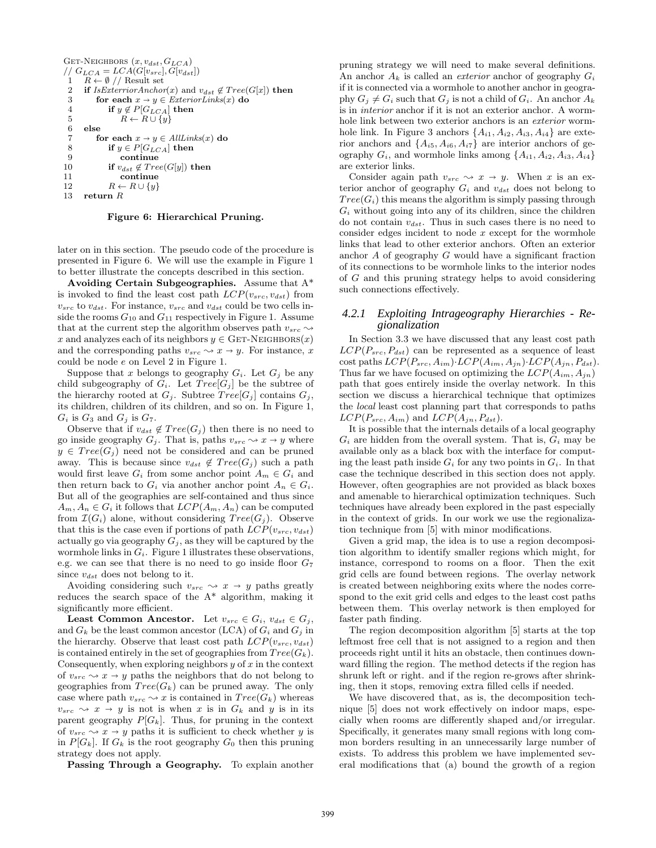```
GET-NEIGHBORS (x, v_{dst}, G_{LCA})\frac{1}{G_{LCA}} = LCA(G[v_{src}], G[v_{dst}])<br>
1 + B \leftarrow \emptyset // Result set
       R \leftarrow \emptyset// Result set
 2 if IsExterriorAnchor(x) and v_{dst} \notin Tree(G[x]) then<br>3 for each x \to y \in \text{ExteriorLinks}(x) do
             for each x \to y \in \text{ExteriorLinks}(x) do
 4 if y \notin P[G_{LCA}] then<br>5 R \leftarrow R \cup \{y\}R \leftarrow R \cup \{y\}6 else
 7 for each x \to y \in AllLinks(x) do<br>8 if y \in P[G_{LCA}] then
 8 if y \in P[G_{LCA}] then<br>9 continue
9 continue<br>10 if v_{dst} \notin Tre10 if v_{dst} \notin Tree(G[y]) then<br>11 continue
11 continue<br>
12 \qquad R \leftarrow R \cup \{y\}12 R \leftarrow R \cup \{y\}<br>13 return R
       return R
```
Figure 6: Hierarchical Pruning.

later on in this section. The pseudo code of the procedure is presented in Figure 6. We will use the example in Figure 1 to better illustrate the concepts described in this section.

Avoiding Certain Subgeographies. Assume that A\* is invoked to find the least cost path  $LCP(v_{src}, v_{dst})$  from  $v_{src}$  to  $v_{dst}$  . For instance,  $v_{src}$  and  $v_{dst}$  could be two cells inside the rooms  $G_{10}$  and  $G_{11}$  respectively in Figure 1. Assume that at the current step the algorithm observes path  $v_{src} \sim$ x and analyzes each of its neighbors  $y \in \text{GET-NEIGHBORS}(x)$ and the corresponding paths  $v_{src} \rightarrow x \rightarrow y$ . For instance, x could be node e on Level 2 in Figure 1.

Suppose that x belongs to geography  $G_i$ . Let  $G_j$  be any child subgeography of  $G_i$ . Let  $Tree[G_j]$  be the subtree of the hierarchy rooted at  $G_i$ . Subtree  $Tree[G_i]$  contains  $G_i$ , its children, children of its children, and so on. In Figure 1,  $G_i$  is  $G_3$  and  $G_j$  is  $G_7$ .

Observe that if  $v_{dst} \notin Tree(G_i)$  then there is no need to go inside geography  $G_i$ . That is, paths  $v_{src} \rightsquigarrow x \rightarrow y$  where  $y \in Tree(G_i)$  need not be considered and can be pruned away. This is because since  $v_{dst} \notin Tree(G_i)$  such a path would first leave  $G_i$  from some anchor point  $A_m \in G_i$  and then return back to  $G_i$  via another anchor point  $A_n \in G_i$ . But all of the geographies are self-contained and thus since  $A_m, A_n \in G_i$  it follows that  $LCP(A_m, A_n)$  can be computed from  $\mathcal{I}(G_i)$  alone, without considering  $Tree(G_i)$ . Observe that this is the case even if portions of path  $LCP(v_{src}, v_{dst})$ actually go via geography  $G_j$ , as they will be captured by the wormhole links in  $G_i$ . Figure 1 illustrates these observations, e.g. we can see that there is no need to go inside floor  $G_7$ since  $v_{dst}$  does not belong to it.

Avoiding considering such  $v_{src} \rightarrow x \rightarrow y$  paths greatly reduces the search space of the A\* algorithm, making it significantly more efficient.

**Least Common Ancestor.** Let  $v_{src} \in G_i$ ,  $v_{dst} \in G_j$ , and  $G_k$  be the least common ancestor (LCA) of  $G_i$  and  $G_j$  in the hierarchy. Observe that least cost path  $LCP(v_{src}, v_{dst})$ is contained entirely in the set of geographies from  $Tree(G_k)$ . Consequently, when exploring neighbors  $y$  of  $x$  in the context of  $v_{src} \rightarrow x \rightarrow y$  paths the neighbors that do not belong to geographies from  $Tree(G_k)$  can be pruned away. The only case where path  $v_{src} \sim x$  is contained in  $Tree(G_k)$  whereas  $v_{src} \rightarrow x \rightarrow y$  is not is when x is in  $G_k$  and y is in its parent geography  $P[G_k]$ . Thus, for pruning in the context of  $v_{src} \rightarrow x \rightarrow y$  paths it is sufficient to check whether y is in  $P[G_k]$ . If  $G_k$  is the root geography  $G_0$  then this pruning strategy does not apply.

Passing Through a Geography. To explain another

pruning strategy we will need to make several definitions. An anchor  $A_k$  is called an *exterior* anchor of geography  $G_i$ if it is connected via a wormhole to another anchor in geography  $G_j \neq G_i$  such that  $G_j$  is not a child of  $G_i$ . An anchor  $A_k$ is in interior anchor if it is not an exterior anchor. A wormhole link between two exterior anchors is an exterior wormhole link. In Figure 3 anchors  $\{A_{i1}, A_{i2}, A_{i3}, A_{i4}\}\$  are exterior anchors and  $\{A_{i5}, A_{i6}, A_{i7}\}\$ are interior anchors of geography  $G_i$ , and wormhole links among  $\{A_{i1}, A_{i2}, A_{i3}, A_{i4}\}$ are exterior links.

Consider again path  $v_{src} \rightsquigarrow x \rightarrow y$ . When x is an exterior anchor of geography  $G_i$  and  $v_{dst}$  does not belong to  $Tree(G_i)$  this means the algorithm is simply passing through  $G_i$  without going into any of its children, since the children do not contain  $v_{dst}$ . Thus in such cases there is no need to consider edges incident to node  $x$  except for the wormhole links that lead to other exterior anchors. Often an exterior anchor  $A$  of geography  $G$  would have a significant fraction of its connections to be wormhole links to the interior nodes of G and this pruning strategy helps to avoid considering such connections effectively.

#### *4.2.1 Exploiting Intrageography Hierarchies - Regionalization*

In Section 3.3 we have discussed that any least cost path  $LCP(P_{src}, P_{dst})$  can be represented as a sequence of least cost paths  $LCP(P_{src}, A_{im})$ · $LCP(A_{im}, A_{jn})$ · $LCP(A_{jn}, P_{dst})$ . Thus far we have focused on optimizing the  $LCP(A_{im}, A_{in})$ path that goes entirely inside the overlay network. In this section we discuss a hierarchical technique that optimizes the local least cost planning part that corresponds to paths  $LCP(P_{src}, A_{im})$  and  $LCP(A_{in}, P_{dst})$ .

It is possible that the internals details of a local geography  $G_i$  are hidden from the overall system. That is,  $G_i$  may be available only as a black box with the interface for computing the least path inside  $G_i$  for any two points in  $G_i$ . In that case the technique described in this section does not apply. However, often geographies are not provided as black boxes and amenable to hierarchical optimization techniques. Such techniques have already been explored in the past especially in the context of grids. In our work we use the regionalization technique from [5] with minor modifications.

Given a grid map, the idea is to use a region decomposition algorithm to identify smaller regions which might, for instance, correspond to rooms on a floor. Then the exit grid cells are found between regions. The overlay network is created between neighboring exits where the nodes correspond to the exit grid cells and edges to the least cost paths between them. This overlay network is then employed for faster path finding.

The region decomposition algorithm [5] starts at the top leftmost free cell that is not assigned to a region and then proceeds right until it hits an obstacle, then continues downward filling the region. The method detects if the region has shrunk left or right. and if the region re-grows after shrinking, then it stops, removing extra filled cells if needed.

We have discovered that, as is, the decomposition technique [5] does not work effectively on indoor maps, especially when rooms are differently shaped and/or irregular. Specifically, it generates many small regions with long common borders resulting in an unnecessarily large number of exists. To address this problem we have implemented several modifications that (a) bound the growth of a region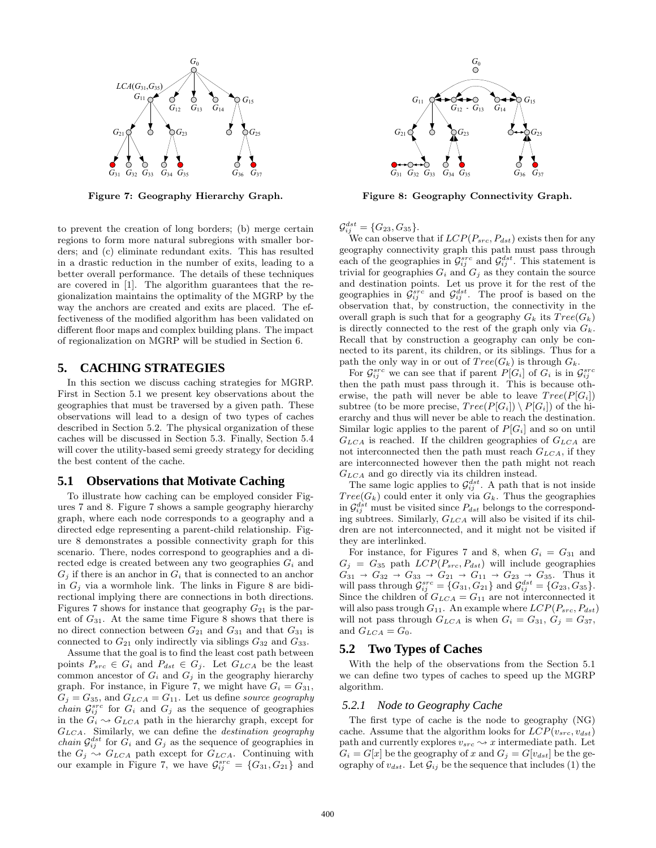

Figure 7: Geography Hierarchy Graph.

to prevent the creation of long borders; (b) merge certain regions to form more natural subregions with smaller borders; and (c) eliminate redundant exits. This has resulted in a drastic reduction in the number of exits, leading to a better overall performance. The details of these techniques are covered in [1]. The algorithm guarantees that the regionalization maintains the optimality of the MGRP by the way the anchors are created and exits are placed. The effectiveness of the modified algorithm has been validated on different floor maps and complex building plans. The impact of regionalization on MGRP will be studied in Section 6.

# **5. CACHING STRATEGIES**

In this section we discuss caching strategies for MGRP. First in Section 5.1 we present key observations about the geographies that must be traversed by a given path. These observations will lead to a design of two types of caches described in Section 5.2. The physical organization of these caches will be discussed in Section 5.3. Finally, Section 5.4 will cover the utility-based semi greedy strategy for deciding the best content of the cache.

#### **5.1 Observations that Motivate Caching**

To illustrate how caching can be employed consider Figures 7 and 8. Figure 7 shows a sample geography hierarchy graph, where each node corresponds to a geography and a directed edge representing a parent-child relationship. Figure 8 demonstrates a possible connectivity graph for this scenario. There, nodes correspond to geographies and a directed edge is created between any two geographies  $G_i$  and  $G_j$  if there is an anchor in  $G_i$  that is connected to an anchor in  $G_j$  via a wormhole link. The links in Figure 8 are bidirectional implying there are connections in both directions. Figures 7 shows for instance that geography  $G_{21}$  is the parent of  $G_{31}$ . At the same time Figure 8 shows that there is no direct connection between  $G_{21}$  and  $G_{31}$  and that  $G_{31}$  is connected to  $G_{21}$  only indirectly via siblings  $G_{32}$  and  $G_{33}$ .

Assume that the goal is to find the least cost path between points  $P_{src} \in G_i$  and  $P_{dst} \in G_j$ . Let  $G_{LCA}$  be the least common ancestor of  $G_i$  and  $G_j$  in the geography hierarchy graph. For instance, in Figure 7, we might have  $G_i = G_{31}$ ,  $G_j = G_{35}$ , and  $G_{LCA} = G_{11}$ . Let us define source geography *chain*  $\mathcal{G}_{ij}^{src}$  for  $G_i$  and  $G_j$  as the sequence of geographies in the  $G_i \rightsquigarrow G_{LCA}$  path in the hierarchy graph, except for  $G_{LCA}$ . Similarly, we can define the *destination geography chain*  $\mathcal{G}_{ij}^{dst}$  for  $G_i$  and  $G_j$  as the sequence of geographies in the  $G_j \rightarrow G_{LCA}$  path except for  $G_{LCA}$ . Continuing with our example in Figure 7, we have  $\mathcal{G}_{ij}^{src} = \{G_{31}, G_{21}\}\$  and



Figure 8: Geography Connectivity Graph.

 $\mathcal{G}_{ij}^{dst} = \{G_{23}, G_{35}\}.$ 

We can observe that if  $LCP(P_{src}, P_{dst})$  exists then for any geography connectivity graph this path must pass through each of the geographies in  $\mathcal{G}_{ij}^{src}$  and  $\mathcal{G}_{ij}^{dst}$ . This statement is trivial for geographies  $G_i$  and  $G_j$  as they contain the source and destination points. Let us prove it for the rest of the geographies in  $\hat{\mathcal{G}}_{ij}^{src}$  and  $\mathcal{G}_{ij}^{dst}$ . The proof is based on the observation that, by construction, the connectivity in the overall graph is such that for a geography  $G_k$  its  $Tree(G_k)$ is directly connected to the rest of the graph only via  $G_k$ . Recall that by construction a geography can only be connected to its parent, its children, or its siblings. Thus for a path the only way in or out of  $Tree(G_k)$  is through  $G_k$ .

For  $\mathcal{G}_{ij}^{src}$  we can see that if parent  $P[G_i]$  of  $G_i$  is in  $\mathcal{G}_{ij}^{src}$  then the path must pass through it. This is because otherwise, the path will never be able to leave  $Tree(P[G_i])$ subtree (to be more precise,  $Tree(P[G_i]) \setminus P[G_i])$  of the hierarchy and thus will never be able to reach the destination. Similar logic applies to the parent of  $P[G_i]$  and so on until  $G_{LCA}$  is reached. If the children geographies of  $G_{LCA}$  are not interconnected then the path must reach  $G_{LCA}$ , if they are interconnected however then the path might not reach  $G_{LCA}$  and go directly via its children instead.

The same logic applies to  $\mathcal{G}_{ij}^{dst}$ . A path that is not inside  $Tree(G_k)$  could enter it only via  $G_k$ . Thus the geographies in  $\mathcal{G}_{ij}^{dst}$  must be visited since  $P_{dst}$  belongs to the corresponding subtrees. Similarly,  $G_{LCA}$  will also be visited if its children are not interconnected, and it might not be visited if they are interlinked.

For instance, for Figures 7 and 8, when  $G_i = G_{31}$  and  $G_j = G_{35}$  path  $LCP(P_{src}, P_{dst})$  will include geographies  $G_{31} \rightarrow G_{32} \rightarrow G_{33} \rightarrow G_{21} \rightarrow G_{11} \rightarrow G_{23} \rightarrow G_{35}$ . Thus it will pass through  $\mathcal{G}_{ij}^{src} = \{G_{31}, G_{21}\}\$  and  $\mathcal{G}_{ij}^{dst} = \{G_{23}, G_{35}\}.$ Since the children of  $G_{LCA} = G_{11}$  are not interconnected it will also pass trough  $G_{11}$ . An example where  $LCP(P_{src}, P_{dst})$ will not pass through  $G_{LCA}$  is when  $G_i = G_{31}$ ,  $G_j = G_{37}$ , and  $G_{LCA} = G_0$ .

#### **5.2 Two Types of Caches**

With the help of the observations from the Section 5.1 we can define two types of caches to speed up the MGRP algorithm.

#### *5.2.1 Node to Geography Cache*

The first type of cache is the node to geography (NG) cache. Assume that the algorithm looks for  $LCP(v_{src}, v_{dst})$ path and currently explores  $v_{src} \sim x$  intermediate path. Let  $G_i = G[x]$  be the geography of x and  $G_j = G[v_{dst}]$  be the geography of  $v_{dst}$ . Let  $\mathcal{G}_{ij}$  be the sequence that includes (1) the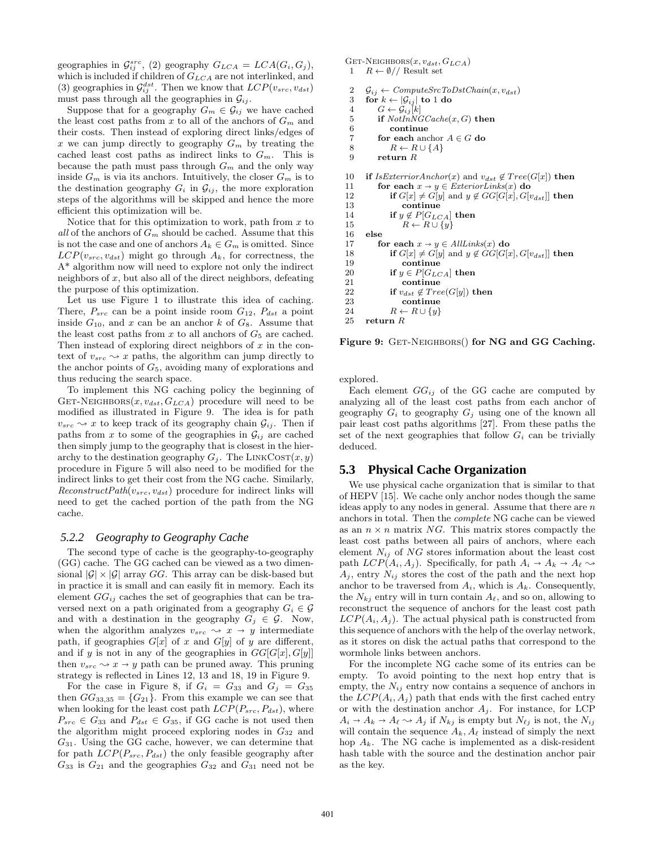geographies in  $\mathcal{G}_{ij}^{src}$ , (2) geography  $G_{LCA} = LCA(G_i, G_j)$ , which is included if children of  $G_{LCA}$  are not interlinked, and (3) geographies in  $\mathcal{G}_{ij}^{dst}$ . Then we know that  $LCP(v_{src}, v_{dst})$ must pass through all the geographies in  $\mathcal{G}_{ij}$ .

Suppose that for a geography  $G_m \in \mathcal{G}_{ij}$  we have cached the least cost paths from x to all of the anchors of  $G_m$  and their costs. Then instead of exploring direct links/edges of x we can jump directly to geography  $G_m$  by treating the cached least cost paths as indirect links to  $G_m$ . This is because the path must pass through  $G_m$  and the only way inside  $G_m$  is via its anchors. Intuitively, the closer  $G_m$  is to the destination geography  $G_i$  in  $\mathcal{G}_{ij}$ , the more exploration steps of the algorithms will be skipped and hence the more efficient this optimization will be.

Notice that for this optimization to work, path from  $x$  to all of the anchors of  $G_m$  should be cached. Assume that this is not the case and one of anchors  $A_k \in G_m$  is omitted. Since  $LCP(v_{src}, v_{dst})$  might go through  $A_k$ , for correctness, the A\* algorithm now will need to explore not only the indirect neighbors of  $x$ , but also all of the direct neighbors, defeating the purpose of this optimization.

Let us use Figure 1 to illustrate this idea of caching. There,  $P_{src}$  can be a point inside room  $G_{12}$ ,  $P_{dst}$  a point inside  $G_{10}$ , and x can be an anchor k of  $G_8$ . Assume that the least cost paths from  $x$  to all anchors of  $G_5$  are cached. Then instead of exploring direct neighbors of  $x$  in the context of  $v_{src} \sim x$  paths, the algorithm can jump directly to the anchor points of  $G_5$ , avoiding many of explorations and thus reducing the search space.

To implement this NG caching policy the beginning of GET-NEIGHBORS $(x, v_{dst}, G_{LCA})$  procedure will need to be modified as illustrated in Figure 9. The idea is for path  $v_{src} \rightarrow x$  to keep track of its geography chain  $\mathcal{G}_{ij}$ . Then if paths from x to some of the geographies in  $\mathcal{G}_{ij}$  are cached then simply jump to the geography that is closest in the hierarchy to the destination geography  $G_i$ . The LINKCOST $(x, y)$ procedure in Figure 5 will also need to be modified for the indirect links to get their cost from the NG cache. Similarly,  $ReconstructPath(v_{src}, v_{dst})$  procedure for indirect links will need to get the cached portion of the path from the NG cache.

#### *5.2.2 Geography to Geography Cache*

The second type of cache is the geography-to-geography (GG) cache. The GG cached can be viewed as a two dimensional  $|\mathcal{G}| \times |\mathcal{G}|$  array GG. This array can be disk-based but in practice it is small and can easily fit in memory. Each its element  $GG_{ij}$  caches the set of geographies that can be traversed next on a path originated from a geography  $G_i \in \mathcal{G}$ and with a destination in the geography  $G_i \in \mathcal{G}$ . Now, when the algorithm analyzes  $v_{src} \sim x \rightarrow y$  intermediate path, if geographies  $G[x]$  of x and  $G[y]$  of y are different, and if y is not in any of the geographies in  $GG[G[x], G[y]]$ then  $v_{src} \rightarrow x \rightarrow y$  path can be pruned away. This pruning strategy is reflected in Lines 12, 13 and 18, 19 in Figure 9.

For the case in Figure 8, if  $G_i = G_{33}$  and  $G_i = G_{35}$ then  $GG_{33,35} = \{G_{21}\}\.$  From this example we can see that when looking for the least cost path  $LCP(P_{src}, P_{dst})$ , where  $P_{src} \in G_{33}$  and  $P_{dst} \in G_{35}$ , if GG cache is not used then the algorithm might proceed exploring nodes in  $G_{32}$  and  $G_{31}$ . Using the GG cache, however, we can determine that for path  $LCP(P_{src}, P_{dst})$  the only feasible geography after  $G_{33}$  is  $G_{21}$  and the geographies  $G_{32}$  and  $G_{31}$  need not be

```
GET-NEIGHBORS(x, v_{dst}, G_{LCA})1 R \leftarrow \emptyset // Result set
 2 G_{ij} \leftarrow ComputeSrcToDstChain(x, v_{dst})<br>3 for k \leftarrow |G_{ij}| to 1 do
 3 for k \leftarrow |G_{ij}| to 1 do<br>4 G \leftarrow G_{ij}[k]4 G \leftarrow \mathcal{G}_{ij}[k]<br>5 if NotINC5 if NotInNGCache(x, G) then<br>6 continue
               6 continue
 7 for each anchor A \in G do R \leftarrow R \cup \{A\}8 R \leftarrow R \cup \{A\}<br>9 return R
           return R10 if IsExterriorAnchor(x) and v_{dst} \notin Tree(G[x]) then<br>11 for each x \to y \in Experimentinks(x) do
11 for each x \to y \in \overline{ExteriorLinks}(x) do
12 if G[x] \neq G[y] and y \notin GG[G[x], G[v_{dst}]] then
13 continue<br>14 if y \notin P[G_{LC}]14 if y \notin P[G_{LCA}] then
15 R \leftarrow R \cup \{y\}16 else
17 for each x \rightarrow y \in AllLinks(x) do
18 if G[x] \neq G[y] and y \notin \hat{G}G[G[x], G[v_{dst}]] then<br>19 continue
                    continue
20 if y \in P[G_{LCA}] then<br>21 continue
                    continue
22 if v_{dst} \notin Tree(G[y]) then<br>23 continue
23 continue<br>
24 \qquad R \leftarrow R \cup \{y\}R \leftarrow R \cup \{y\}25 return R
```
Figure 9: GET-NEIGHBORS() for NG and GG Caching.

explored.

Each element  $GG_{ij}$  of the GG cache are computed by analyzing all of the least cost paths from each anchor of geography  $G_i$  to geography  $G_j$  using one of the known all pair least cost paths algorithms [27]. From these paths the set of the next geographies that follow  $G_i$  can be trivially deduced.

# **5.3 Physical Cache Organization**

We use physical cache organization that is similar to that of HEPV [15]. We cache only anchor nodes though the same ideas apply to any nodes in general. Assume that there are  $n$ anchors in total. Then the complete NG cache can be viewed as an  $n \times n$  matrix NG. This matrix stores compactly the least cost paths between all pairs of anchors, where each element  $N_{ij}$  of NG stores information about the least cost path  $LCP(A_i, A_j)$ . Specifically, for path  $A_i \rightarrow A_k \rightarrow A_\ell \rightarrow$  $A_j$ , entry  $N_{ij}$  stores the cost of the path and the next hop anchor to be traversed from  $A_i$ , which is  $A_k$ . Consequently, the  $N_{kj}$  entry will in turn contain  $A_{\ell}$ , and so on, allowing to reconstruct the sequence of anchors for the least cost path  $LCP(A_i, A_j)$ . The actual physical path is constructed from this sequence of anchors with the help of the overlay network, as it stores on disk the actual paths that correspond to the wormhole links between anchors.

For the incomplete NG cache some of its entries can be empty. To avoid pointing to the next hop entry that is empty, the  $N_{ij}$  entry now contains a sequence of anchors in the  $LCP(A_i, A_j)$  path that ends with the first cached entry or with the destination anchor  $A_i$ . For instance, for LCP  $A_i \rightarrow A_k \rightarrow A_\ell \rightarrow A_j$  if  $N_{kj}$  is empty but  $N_{\ell j}$  is not, the  $N_{ij}$ will contain the sequence  $A_k$ ,  $A_\ell$  instead of simply the next hop  $A_k$ . The NG cache is implemented as a disk-resident hash table with the source and the destination anchor pair as the key.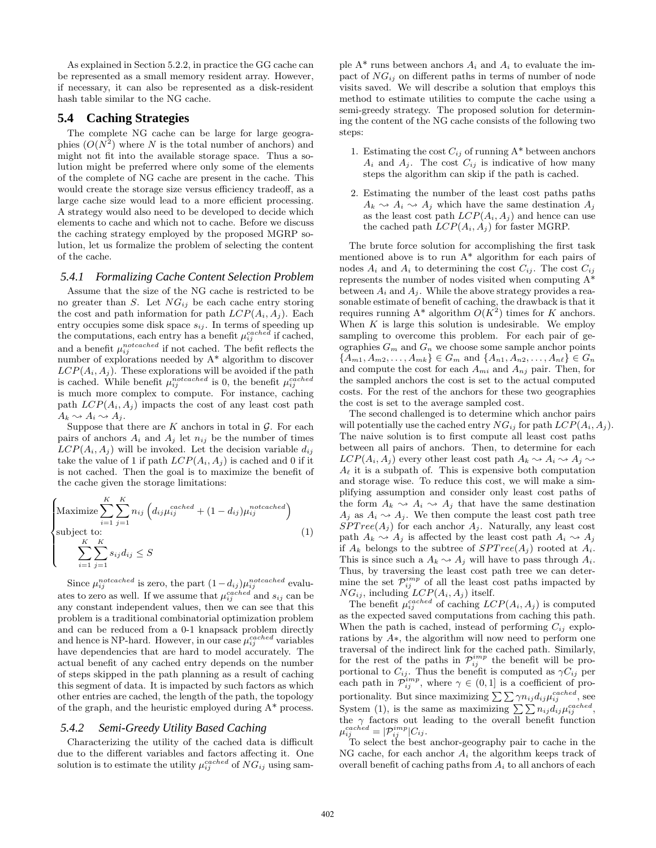As explained in Section 5.2.2, in practice the GG cache can be represented as a small memory resident array. However, if necessary, it can also be represented as a disk-resident hash table similar to the NG cache.

## **5.4 Caching Strategies**

The complete NG cache can be large for large geographies  $(O(N^2)$  where N is the total number of anchors) and might not fit into the available storage space. Thus a solution might be preferred where only some of the elements of the complete of NG cache are present in the cache. This would create the storage size versus efficiency tradeoff, as a large cache size would lead to a more efficient processing. A strategy would also need to be developed to decide which elements to cache and which not to cache. Before we discuss the caching strategy employed by the proposed MGRP solution, let us formalize the problem of selecting the content of the cache.

#### *5.4.1 Formalizing Cache Content Selection Problem*

Assume that the size of the NG cache is restricted to be no greater than  $S$ . Let  $NG_{ij}$  be each cache entry storing the cost and path information for path  $LCP(A_i, A_j)$ . Each entry occupies some disk space  $s_{ij}$ . In terms of speeding up the computations, each entry has a benefit  $\mu_{ij}^{cached}$  if cached, and a benefit  $\mu_{ij}^{notcached}$  if not cached. The befit reflects the number of explorations needed by A\* algorithm to discover  $LCP(A_i, A_j)$ . These explorations will be avoided if the path is cached. While benefit  $\mu_{ij}^{notcached}$  is 0, the benefit  $\mu_{ij}^{cached}$ is much more complex to compute. For instance, caching path  $LCP(A_i, A_j)$  impacts the cost of any least cost path  $A_k \rightsquigarrow A_i \rightsquigarrow A_j$ .

Suppose that there are  $K$  anchors in total in  $\mathcal{G}$ . For each pairs of anchors  $A_i$  and  $A_j$  let  $n_{ij}$  be the number of times  $LCP(A_i, A_j)$  will be invoked. Let the decision variable  $d_{ij}$ take the value of 1 if path  $LCP(A_i, A_j)$  is cached and 0 if it is not cached. Then the goal is to maximize the benefit of the cache given the storage limitations:

$$
\begin{cases}\n\text{Maximize} \sum_{i=1}^{K} \sum_{j=1}^{K} n_{ij} \left( d_{ij} \mu_{ij}^{cached} + (1 - d_{ij}) \mu_{ij}^{not cached} \right) \\
\text{subject to:} \\
\sum_{i=1}^{K} \sum_{j=1}^{K} s_{ij} d_{ij} \leq S\n\end{cases}
$$
\n(1)

Since  $\mu_{ij}^{notcached}$  is zero, the part  $(1-d_{ij})\mu_{ij}^{notcached}$  evaluates to zero as well. If we assume that  $\mu_{ij}^{cached}$  and  $s_{ij}$  can be any constant independent values, then we can see that this problem is a traditional combinatorial optimization problem and can be reduced from a 0-1 knapsack problem directly and hence is NP-hard. However, in our case  $\mu_{ij}^{cached}$  variables have dependencies that are hard to model accurately. The actual benefit of any cached entry depends on the number of steps skipped in the path planning as a result of caching this segment of data. It is impacted by such factors as which other entries are cached, the length of the path, the topology of the graph, and the heuristic employed during  $A^*$  process.

#### *5.4.2 Semi-Greedy Utility Based Caching*

Characterizing the utility of the cached data is difficult due to the different variables and factors affecting it. One solution is to estimate the utility  $\mu_{ij}^{cached}$  of  $NG_{ij}$  using sample  $A^*$  runs between anchors  $A_i$  and  $A_i$  to evaluate the impact of  $NG_{ij}$  on different paths in terms of number of node visits saved. We will describe a solution that employs this method to estimate utilities to compute the cache using a semi-greedy strategy. The proposed solution for determining the content of the NG cache consists of the following two steps:

- 1. Estimating the cost  $C_{ij}$  of running  $A^*$  between anchors  $A_i$  and  $A_j$ . The cost  $C_{ij}$  is indicative of how many steps the algorithm can skip if the path is cached.
- 2. Estimating the number of the least cost paths paths  $A_k \rightsquigarrow A_i \rightsquigarrow A_j$  which have the same destination  $A_j$ as the least cost path  $LCP(A_i, A_j)$  and hence can use the cached path  $LCP(A_i, A_j)$  for faster MGRP.

The brute force solution for accomplishing the first task mentioned above is to run  $A^*$  algorithm for each pairs of nodes  $A_i$  and  $A_i$  to determining the cost  $C_{ij}$ . The cost  $C_{ij}$ represents the number of nodes visited when computing  $A^*$ between  $A_i$  and  $A_j$ . While the above strategy provides a reasonable estimate of benefit of caching, the drawback is that it requires running  $A^*$  algorithm  $O(K^2)$  times for K anchors. When  $K$  is large this solution is undesirable. We employ sampling to overcome this problem. For each pair of geographies  $G_m$  and  $G_n$  we choose some sample anchor points  ${A_{m1}, A_{m2}, \ldots, A_{mk}} \in G_m$  and  ${A_{n1}, A_{n2}, \ldots, A_{n\ell}} \in G_n$ and compute the cost for each  $A_{mi}$  and  $A_{nj}$  pair. Then, for the sampled anchors the cost is set to the actual computed costs. For the rest of the anchors for these two geographies the cost is set to the average sampled cost.

The second challenged is to determine which anchor pairs will potentially use the cached entry  $NG_{ij}$  for path  $LCP(A_i, A_j)$ . The naive solution is to first compute all least cost paths between all pairs of anchors. Then, to determine for each  $LCP(A_i, A_j)$  every other least cost path  $A_k \rightsquigarrow A_i \rightsquigarrow A_j \rightsquigarrow$  $A_{\ell}$  it is a subpath of. This is expensive both computation and storage wise. To reduce this cost, we will make a simplifying assumption and consider only least cost paths of the form  $A_k \rightsquigarrow A_i \rightsquigarrow A_j$  that have the same destination  $A_j$  as  $A_i \rightsquigarrow A_j$ . We then compute the least cost path tree  $SPTree(A_j)$  for each anchor  $A_j$ . Naturally, any least cost path  $A_k \rightsquigarrow A_j$  is affected by the least cost path  $A_i \rightsquigarrow A_j$ if  $A_k$  belongs to the subtree of  $SPTree(A_j)$  rooted at  $A_i$ . This is since such a  $A_k \sim A_j$  will have to pass through  $A_i$ . Thus, by traversing the least cost path tree we can determine the set  $\mathcal{P}_{ij}^{imp}$  of all the least cost paths impacted by  $NG_{ij}$ , including  $LCP(A_i, A_j)$  itself.

The benefit  $\mu_{ij}^{cached}$  of caching  $LCP(A_i, A_j)$  is computed as the expected saved computations from caching this path. When the path is cached, instead of performing  $C_{ij}$  explorations by A∗, the algorithm will now need to perform one traversal of the indirect link for the cached path. Similarly, for the rest of the paths in  $\mathcal{P}_{ij}^{imp}$  the benefit will be proportional to  $C_{ij}$ . Thus the benefit is computed as  $\gamma C_{ij}$  per each path in  $\mathcal{P}_{ij}^{imp}$ , where  $\gamma \in (0,1]$  is a coefficient of proportionality. But since maximizing  $\sum \sum \gamma n_{ij} d_{ij} \mu_{ij}^{cache}$ , see System (1), is the same as maximizing  $\sum \sum n_{ij} d_{ij} \mu_{ij}^{cached}$ , the  $\gamma$  factors out leading to the overall benefit function  $\mu_{ij}^{cached} = |\mathcal{P}_{ij}^{imp}|C_{ij}.$ 

To select the best anchor-geography pair to cache in the NG cache, for each anchor  $A_i$  the algorithm keeps track of overall benefit of caching paths from  $A_i$  to all anchors of each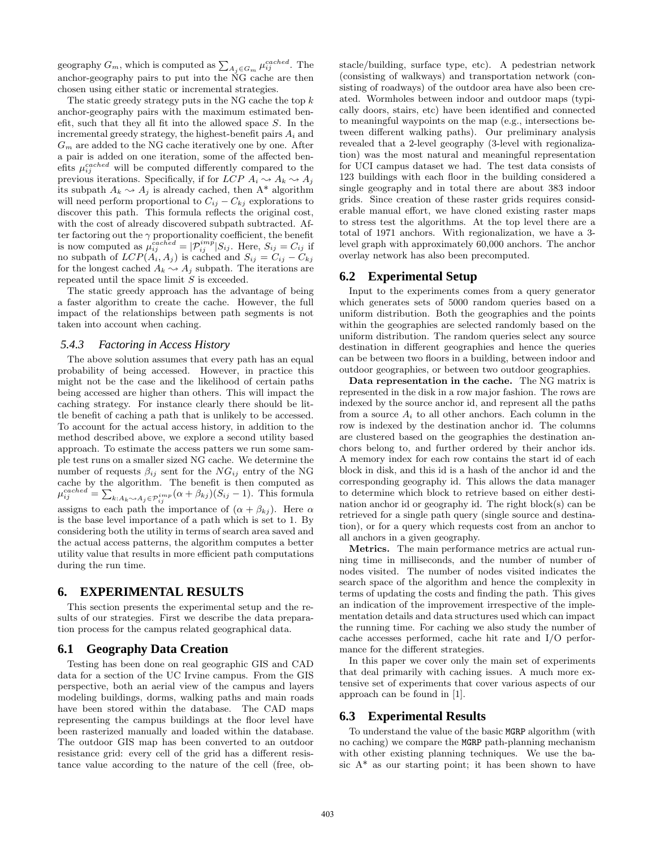geography  $G_m$ , which is computed as  $\sum_{A_j \in G_m} \mu_{ij}^{cached}$ . The anchor-geography pairs to put into the NG cache are then chosen using either static or incremental strategies.

The static greedy strategy puts in the NG cache the top  $k$ anchor-geography pairs with the maximum estimated benefit, such that they all fit into the allowed space S. In the incremental greedy strategy, the highest-benefit pairs  $A_i$  and  $G_m$  are added to the NG cache iteratively one by one. After a pair is added on one iteration, some of the affected benefits  $\mu_{ij}^{cached}$  will be computed differently compared to the previous iterations. Specifically, if for  $LCP$   $A_i \sim A_k \sim A_j$ its subpath  $A_k \sim A_j$  is already cached, then  $A^*$  algorithm will need perform proportional to  $C_{ij} - C_{kj}$  explorations to discover this path. This formula reflects the original cost, with the cost of already discovered subpath subtracted. After factoring out the  $\gamma$  proportionality coefficient, the benefit is now computed as  $\mu_{ij}^{cache} = |\mathcal{P}_{ij}^{imp}|S_{ij}$ . Here,  $S_{ij} = C_{ij}$  if no subpath of  $LCP(A_i, A_j)$  is cached and  $S_{ij} = C_{ij} - C_{kj}$ for the longest cached  $A_k \sim A_j$  subpath. The iterations are repeated until the space limit S is exceeded.

The static greedy approach has the advantage of being a faster algorithm to create the cache. However, the full impact of the relationships between path segments is not taken into account when caching.

#### *5.4.3 Factoring in Access History*

The above solution assumes that every path has an equal probability of being accessed. However, in practice this might not be the case and the likelihood of certain paths being accessed are higher than others. This will impact the caching strategy. For instance clearly there should be little benefit of caching a path that is unlikely to be accessed. To account for the actual access history, in addition to the method described above, we explore a second utility based approach. To estimate the access patters we run some sample test runs on a smaller sized NG cache. We determine the number of requests  $\beta_{ij}$  sent for the NG<sub>ij</sub> entry of the NG cache by the algorithm. The benefit is then computed as  $\mu_{ij}^{cached} = \sum_{k: A_k \sim A_j \in \mathcal{P}_{ij}^{imp}} (\alpha + \beta_{kj})(S_{ij} - 1)$ . This formula assigns to each path the importance of  $(\alpha + \beta_{kj})$ . Here  $\alpha$ is the base level importance of a path which is set to 1. By considering both the utility in terms of search area saved and the actual access patterns, the algorithm computes a better utility value that results in more efficient path computations during the run time.

# **6. EXPERIMENTAL RESULTS**

This section presents the experimental setup and the results of our strategies. First we describe the data preparation process for the campus related geographical data.

#### **6.1 Geography Data Creation**

Testing has been done on real geographic GIS and CAD data for a section of the UC Irvine campus. From the GIS perspective, both an aerial view of the campus and layers modeling buildings, dorms, walking paths and main roads have been stored within the database. The CAD maps representing the campus buildings at the floor level have been rasterized manually and loaded within the database. The outdoor GIS map has been converted to an outdoor resistance grid: every cell of the grid has a different resistance value according to the nature of the cell (free, obstacle/building, surface type, etc). A pedestrian network (consisting of walkways) and transportation network (consisting of roadways) of the outdoor area have also been created. Wormholes between indoor and outdoor maps (typically doors, stairs, etc) have been identified and connected to meaningful waypoints on the map (e.g., intersections between different walking paths). Our preliminary analysis revealed that a 2-level geography (3-level with regionalization) was the most natural and meaningful representation for UCI campus dataset we had. The test data consists of 123 buildings with each floor in the building considered a single geography and in total there are about 383 indoor grids. Since creation of these raster grids requires considerable manual effort, we have cloned existing raster maps to stress test the algorithms. At the top level there are a total of 1971 anchors. With regionalization, we have a 3 level graph with approximately 60,000 anchors. The anchor overlay network has also been precomputed.

#### **6.2 Experimental Setup**

Input to the experiments comes from a query generator which generates sets of 5000 random queries based on a uniform distribution. Both the geographies and the points within the geographies are selected randomly based on the uniform distribution. The random queries select any source destination in different geographies and hence the queries can be between two floors in a building, between indoor and outdoor geographies, or between two outdoor geographies.

Data representation in the cache. The NG matrix is represented in the disk in a row major fashion. The rows are indexed by the source anchor id, and represent all the paths from a source  $A_i$  to all other anchors. Each column in the row is indexed by the destination anchor id. The columns are clustered based on the geographies the destination anchors belong to, and further ordered by their anchor ids. A memory index for each row contains the start id of each block in disk, and this id is a hash of the anchor id and the corresponding geography id. This allows the data manager to determine which block to retrieve based on either destination anchor id or geography id. The right block(s) can be retrieved for a single path query (single source and destination), or for a query which requests cost from an anchor to all anchors in a given geography.

Metrics. The main performance metrics are actual running time in milliseconds, and the number of number of nodes visited. The number of nodes visited indicates the search space of the algorithm and hence the complexity in terms of updating the costs and finding the path. This gives an indication of the improvement irrespective of the implementation details and data structures used which can impact the running time. For caching we also study the number of cache accesses performed, cache hit rate and I/O performance for the different strategies.

In this paper we cover only the main set of experiments that deal primarily with caching issues. A much more extensive set of experiments that cover various aspects of our approach can be found in [1].

## **6.3 Experimental Results**

To understand the value of the basic MGRP algorithm (with no caching) we compare the MGRP path-planning mechanism with other existing planning techniques. We use the basic A\* as our starting point; it has been shown to have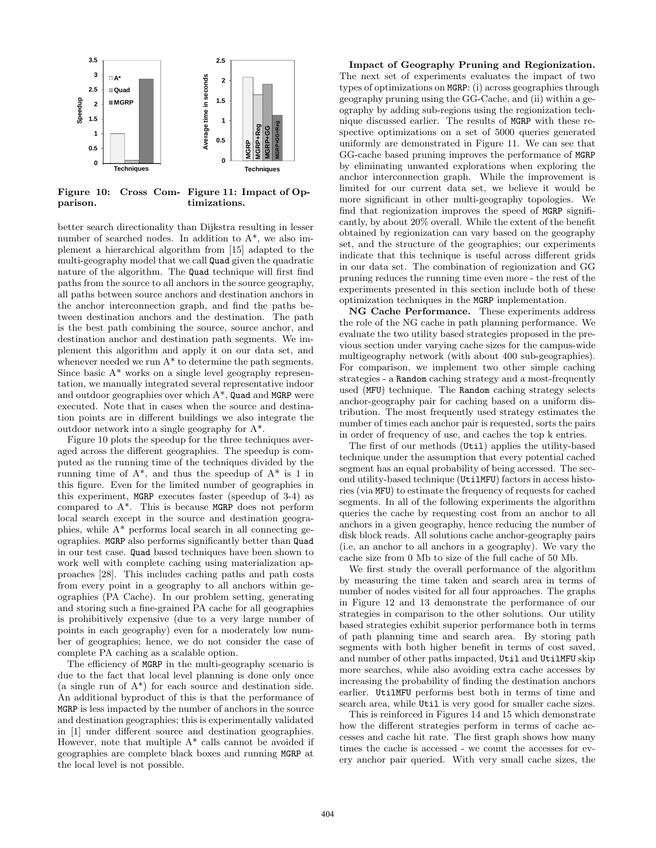

Figure 10: Cross Com-Figure 11: Impact of Opparison. timizations.

better search directionality than Dijkstra resulting in lesser number of searched nodes. In addition to  $A^*$ , we also implement a hierarchical algorithm from [15] adapted to the multi-geography model that we call Quad given the quadratic nature of the algorithm. The Quad technique will first find paths from the source to all anchors in the source geography, all paths between source anchors and destination anchors in the anchor interconnection graph, and find the paths between destination anchors and the destination. The path is the best path combining the source, source anchor, and destination anchor and destination path segments. We implement this algorithm and apply it on our data set, and whenever needed we run  $A^*$  to determine the path segments. Since basic A\* works on a single level geography representation, we manually integrated several representative indoor and outdoor geographies over which A\*, Quad and MGRP were executed. Note that in cases when the source and destination points are in different buildings we also integrate the outdoor network into a single geography for A\*.

Figure 10 plots the speedup for the three techniques averaged across the different geographies. The speedup is computed as the running time of the techniques divided by the running time of  $A^*$ , and thus the speedup of  $A^*$  is 1 in this figure. Even for the limited number of geographies in this experiment, MGRP executes faster (speedup of 3-4) as compared to A\*. This is because MGRP does not perform local search except in the source and destination geographies, while A\* performs local search in all connecting geographies. MGRP also performs significantly better than Quad in our test case. Quad based techniques have been shown to work well with complete caching using materialization approaches [28]. This includes caching paths and path costs from every point in a geography to all anchors within geographies (PA Cache). In our problem setting, generating and storing such a fine-grained PA cache for all geographies is prohibitively expensive (due to a very large number of points in each geography) even for a moderately low number of geographies; hence, we do not consider the case of complete PA caching as a scalable option.

The efficiency of MGRP in the multi-geography scenario is due to the fact that local level planning is done only once  $(a)$  single run of  $A^*$  for each source and destination side. An additional byproduct of this is that the performance of MGRP is less impacted by the number of anchors in the source and destination geographies; this is experimentally validated in [1] under different source and destination geographies. However, note that multiple  $A^*$  calls cannot be avoided if geographies are complete black boxes and running MGRP at the local level is not possible.

Impact of Geography Pruning and Regionization. The next set of experiments evaluates the impact of two types of optimizations on MGRP: (i) across geographies through geography pruning using the GG-Cache, and (ii) within a geography by adding sub-regions using the regionization technique discussed earlier. The results of MGRP with these respective optimizations on a set of 5000 queries generated uniformly are demonstrated in Figure 11. We can see that GG-cache based pruning improves the performance of MGRP by eliminating unwanted explorations when exploring the anchor interconnection graph. While the improvement is limited for our current data set, we believe it would be more significant in other multi-geography topologies. We find that regionization improves the speed of MGRP significantly, by about 20% overall. While the extent of the benefit obtained by regionization can vary based on the geography set, and the structure of the geographies; our experiments indicate that this technique is useful across different grids in our data set. The combination of regionization and GG pruning reduces the running time even more - the rest of the experiments presented in this section include both of these optimization techniques in the MGRP implementation.

NG Cache Performance. These experiments address the role of the NG cache in path planning performance. We evaluate the two utility based strategies proposed in the previous section under varying cache sizes for the campus-wide multigeography network (with about 400 sub-geographies). For comparison, we implement two other simple caching strategies - a Random caching strategy and a most-frequently used (MFU) technique. The Random caching strategy selects anchor-geography pair for caching based on a uniform distribution. The most frequently used strategy estimates the number of times each anchor pair is requested, sorts the pairs in order of frequency of use, and caches the top k entries.

The first of our methods (Util) applies the utility-based technique under the assumption that every potential cached segment has an equal probability of being accessed. The second utility-based technique (UtilMFU) factors in access histories (via MFU) to estimate the frequency of requests for cached segments. In all of the following experiments the algorithm queries the cache by requesting cost from an anchor to all anchors in a given geography, hence reducing the number of disk block reads. All solutions cache anchor-geography pairs (i.e, an anchor to all anchors in a geography). We vary the cache size from 0 Mb to size of the full cache of 50 Mb.

We first study the overall performance of the algorithm by measuring the time taken and search area in terms of number of nodes visited for all four approaches. The graphs in Figure 12 and 13 demonstrate the performance of our strategies in comparison to the other solutions. Our utility based strategies exhibit superior performance both in terms of path planning time and search area. By storing path segments with both higher benefit in terms of cost saved, and number of other paths impacted, Util and UtilMFU skip more searches, while also avoiding extra cache accesses by increasing the probability of finding the destination anchors earlier. UtilMFU performs best both in terms of time and search area, while Util is very good for smaller cache sizes.

This is reinforced in Figures 14 and 15 which demonstrate how the different strategies perform in terms of cache accesses and cache hit rate. The first graph shows how many times the cache is accessed - we count the accesses for every anchor pair queried. With very small cache sizes, the